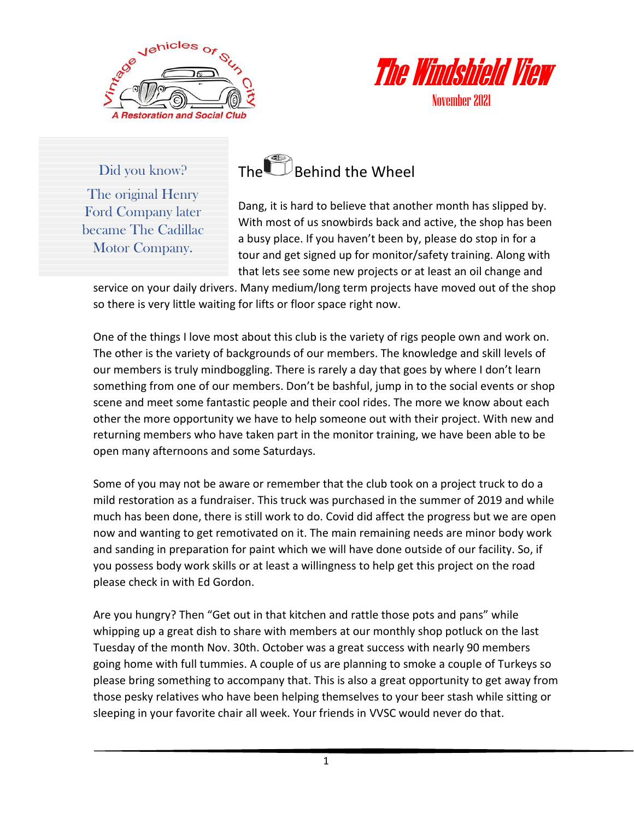



Did you know? The original Henry Ford Company later became The Cadillac Motor Company.



Dang, it is hard to believe that another month has slipped by. With most of us snowbirds back and active, the shop has been a busy place. If you haven't been by, please do stop in for a tour and get signed up for monitor/safety training. Along with that lets see some new projects or at least an oil change and

service on your daily drivers. Many medium/long term projects have moved out of the shop so there is very little waiting for lifts or floor space right now.

One of the things I love most about this club is the variety of rigs people own and work on. The other is the variety of backgrounds of our members. The knowledge and skill levels of our members is truly mindboggling. There is rarely a day that goes by where I don't learn something from one of our members. Don't be bashful, jump in to the social events or shop scene and meet some fantastic people and their cool rides. The more we know about each other the more opportunity we have to help someone out with their project. With new and returning members who have taken part in the monitor training, we have been able to be open many afternoons and some Saturdays.

Some of you may not be aware or remember that the club took on a project truck to do a mild restoration as a fundraiser. This truck was purchased in the summer of 2019 and while much has been done, there is still work to do. Covid did affect the progress but we are open now and wanting to get remotivated on it. The main remaining needs are minor body work and sanding in preparation for paint which we will have done outside of our facility. So, if you possess body work skills or at least a willingness to help get this project on the road please check in with Ed Gordon.

Are you hungry? Then "Get out in that kitchen and rattle those pots and pans" while whipping up a great dish to share with members at our monthly shop potluck on the last Tuesday of the month Nov. 30th. October was a great success with nearly 90 members going home with full tummies. A couple of us are planning to smoke a couple of Turkeys so please bring something to accompany that. This is also a great opportunity to get away from those pesky relatives who have been helping themselves to your beer stash while sitting or sleeping in your favorite chair all week. Your friends in VVSC would never do that.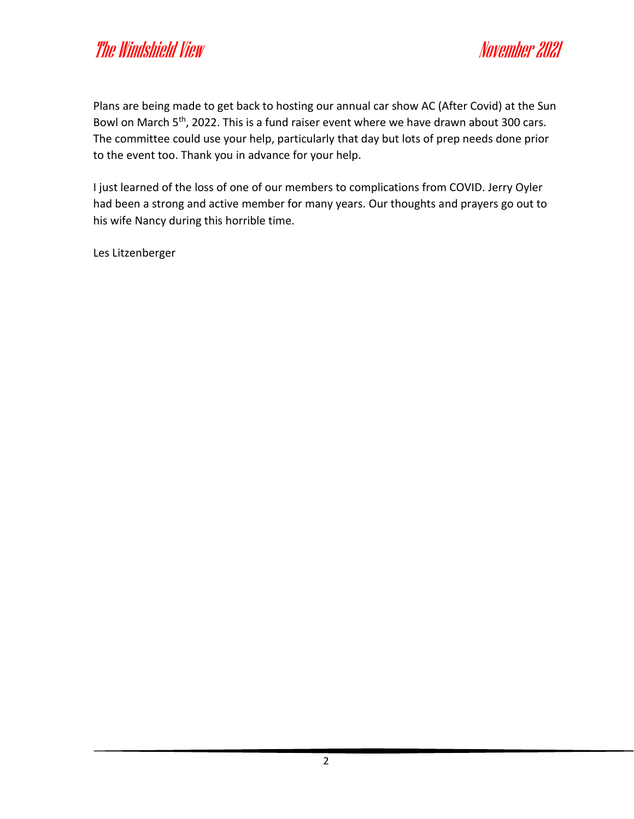Plans are being made to get back to hosting our annual car show AC (After Covid) at the Sun Bowl on March 5<sup>th</sup>, 2022. This is a fund raiser event where we have drawn about 300 cars. The committee could use your help, particularly that day but lots of prep needs done prior to the event too. Thank you in advance for your help.

I just learned of the loss of one of our members to complications from COVID. Jerry Oyler had been a strong and active member for many years. Our thoughts and prayers go out to his wife Nancy during this horrible time.

Les Litzenberger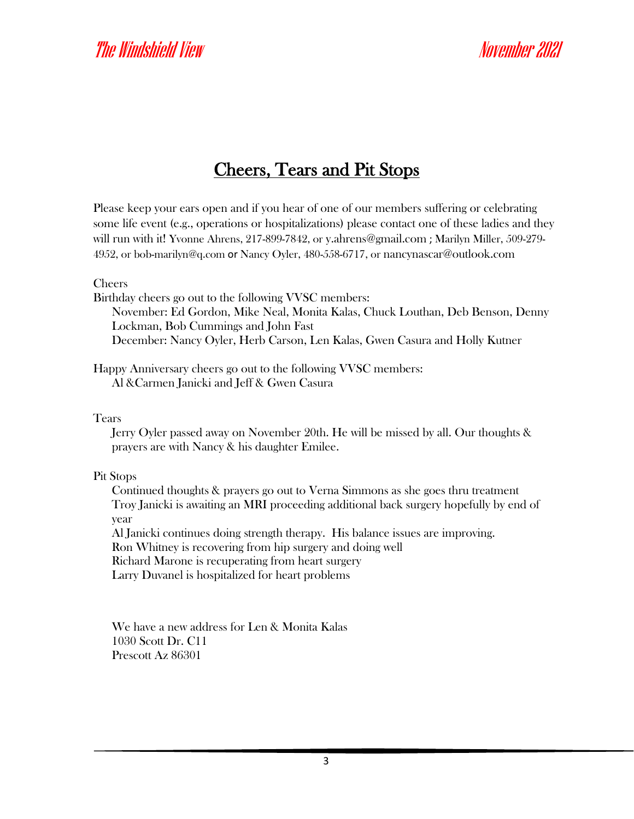### Cheers, Tears and Pit Stops

Please keep your ears open and if you hear of one of our members suffering or celebrating some life event (e.g., operations or hospitalizations) please contact one of these ladies and they will run with it! Yvonne Ahrens, 217-899-7842, or [y.ahrens@gmail.com](mailto:y.ahrens@gmail.com) ; Marilyn Miller, 509-279- 4952, or [bob-marilyn@q.com](mailto:bob-marilyn@q.com) or Nancy Oyler, 480-558-6717, or [nancynascar@outlook.com](mailto:nancynascar@outlook.com)

Cheers

Birthday cheers go out to the following VVSC members: November: Ed Gordon, Mike Neal, Monita Kalas, Chuck Louthan, Deb Benson, Denny Lockman, Bob Cummings and John Fast December: Nancy Oyler, Herb Carson, Len Kalas, Gwen Casura and Holly Kutner

Happy Anniversary cheers go out to the following VVSC members: Al &Carmen Janicki and Jeff & Gwen Casura

Tears

Jerry Oyler passed away on November 20th. He will be missed by all. Our thoughts & prayers are with Nancy & his daughter Emilee.

Pit Stops

Continued thoughts & prayers go out to Verna Simmons as she goes thru treatment Troy Janicki is awaiting an MRI proceeding additional back surgery hopefully by end of year

Al Janicki continues doing strength therapy. His balance issues are improving.

Ron Whitney is recovering from hip surgery and doing well

Richard Marone is recuperating from heart surgery

Larry Duvanel is hospitalized for heart problems

We have a new address for Len & Monita Kalas 1030 Scott Dr. C11 Prescott Az 86301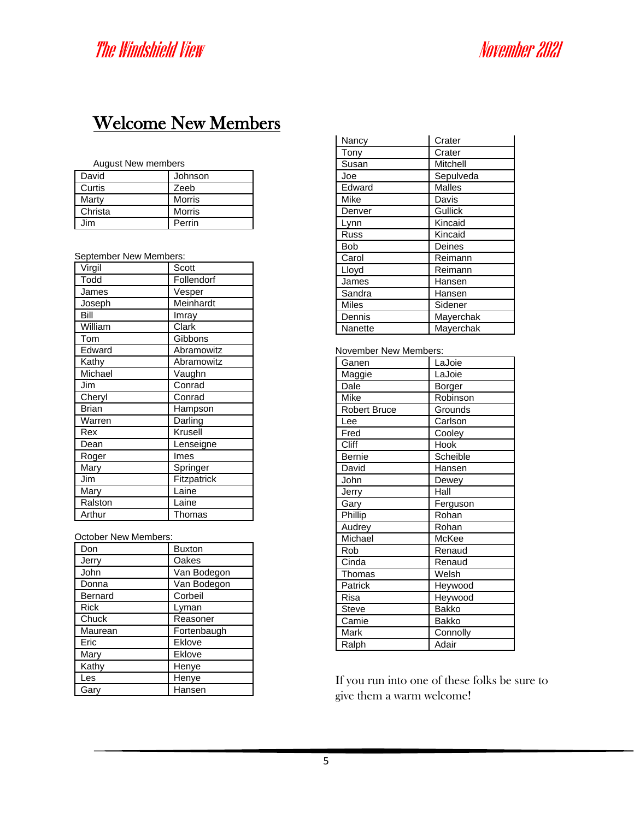### Welcome New Members

### August New members

| David   | Johnson       |
|---------|---------------|
| Curtis  | Zeeb          |
| Marty   | <b>Morris</b> |
| Christa | <b>Morris</b> |
| Jim     | Perrin        |

### September New Members:

| Virgil       | Scott       |
|--------------|-------------|
| Todd         | Follendorf  |
| James        | Vesper      |
| Joseph       | Meinhardt   |
| Bill         | Imray       |
| William      | Clark       |
| Tom          | Gibbons     |
| Edward       | Abramowitz  |
| Kathy        | Abramowitz  |
| Michael      | Vaughn      |
| Jim          | Conrad      |
| Cheryl       | Conrad      |
| <b>Brian</b> | Hampson     |
| Warren       | Darling     |
| Rex          | Krusell     |
| Dean         | Lenseigne   |
| Roger        | Imes        |
| Mary         | Springer    |
| Jim          | Fitzpatrick |
| Mary         | Laine       |
| Ralston      | Laine       |
| Arthur       | Thomas      |

October New Members:

| Don         | <b>Buxton</b> |
|-------------|---------------|
| Jerry       | Oakes         |
| John        | Van Bodegon   |
| Donna       | Van Bodegon   |
| Bernard     | Corbeil       |
| <b>Rick</b> | Lyman         |
| Chuck       | Reasoner      |
| Maurean     | Fortenbaugh   |
| Eric        | Eklove        |
| Mary        | Eklove        |
| Kathy       | Henye         |
| Les         | Henye         |
| Gary        | Hansen        |
|             |               |

| Nancy        | Crater         |
|--------------|----------------|
| Tony         | Crater         |
| Susan        | Mitchell       |
| Joe          | Sepulveda      |
| Edward       | <b>Malles</b>  |
| Mike         | Davis          |
| Denver       | <b>Gullick</b> |
| Lynn         | Kincaid        |
| <b>Russ</b>  | Kincaid        |
| Bob          | Deines         |
| Carol        | Reimann        |
| Lloyd        | Reimann        |
| James        | Hansen         |
| Sandra       | Hansen         |
| <b>Miles</b> | Sidener        |
| Dennis       | Mayerchak      |
| Nanette      | Mayerchak      |

### November New Members:

| Ganen               | LaJoie       |
|---------------------|--------------|
| Maggie              | LaJoie       |
| Dale                | Borger       |
| Mike                | Robinson     |
| <b>Robert Bruce</b> | Grounds      |
| Lee                 | Carlson      |
| Fred                | Cooley       |
| Cliff               | Hook         |
| <b>Bernie</b>       | Scheible     |
| David               | Hansen       |
| John                | Dewey        |
| Jerry               | Hall         |
| Gary                | Ferguson     |
| Phillip             | Rohan        |
| Audrey              | Rohan        |
| Michael             | McKee        |
| Rob                 | Renaud       |
| Cinda               | Renaud       |
| Thomas              | Welsh        |
| Patrick             | Heywood      |
| Risa                | Heywood      |
| <b>Steve</b>        | Bakko        |
| Camie               | <b>Bakko</b> |
| Mark                | Connolly     |
| Ralph               | Adair        |

If you run into one of these folks be sure to give them a warm welcome!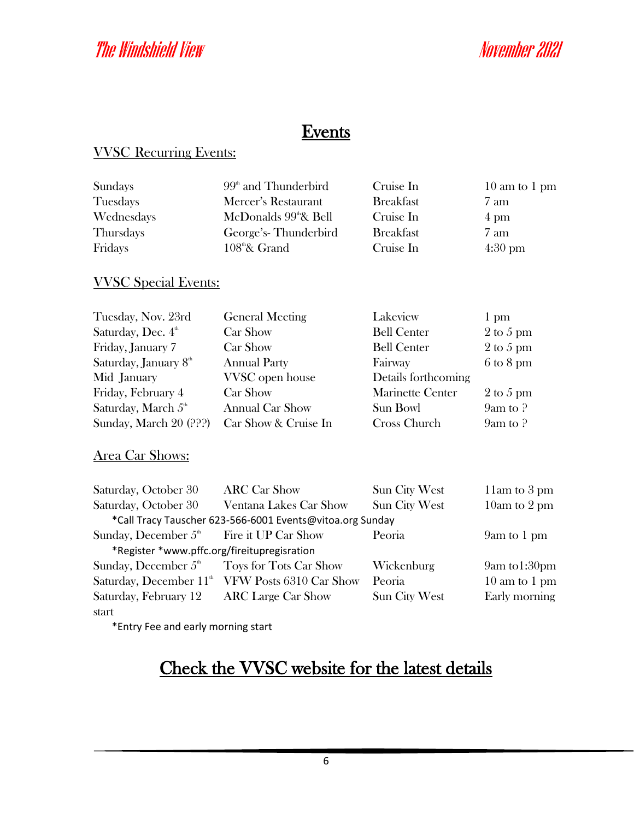### **Events**

### VVSC Recurring Events:

| Sundays    | $99th$ and Thunderbird            | Cruise In        | $10 \text{ am to } 1 \text{ pm}$ |
|------------|-----------------------------------|------------------|----------------------------------|
| Tuesdays   | Mercer's Restaurant               | <b>Breakfast</b> | 7 am                             |
| Wednesdays | McDonalds 99 <sup>th</sup> & Bell | Cruise In        | $4 \text{ pm}$                   |
| Thursdays  | George's-Thunderbird              | <b>Breakfast</b> | 7 am                             |
| Fridays    | $108^{\text{th}}$ & Grand         | Cruise In        | $4:30 \text{ pm}$                |
|            |                                   |                  |                                  |

### VVSC Special Events:

| Tuesday, Nov. 23rd                | <b>General Meeting</b> | Lakeview                | 1 pm                         |
|-----------------------------------|------------------------|-------------------------|------------------------------|
| Saturday, Dec. 4 <sup>th</sup>    | Car Show               | <b>Bell Center</b>      | $2$ to 5 pm                  |
| Friday, January 7                 | Car Show               | <b>Bell Center</b>      | $2 \text{ to } 5 \text{ pm}$ |
| Saturday, January 8 <sup>th</sup> | <b>Annual Party</b>    | Fairway                 | $6 \text{ to } 8 \text{ pm}$ |
| Mid January                       | VVSC open house        | Details forthcoming     |                              |
| Friday, February 4                | Car Show               | <b>Marinette Center</b> | $2 \text{ to } 5 \text{ pm}$ |
| Saturday, March 5 <sup>th</sup>   | <b>Annual Car Show</b> | Sun Bowl                | $9am$ to $?$                 |
| Sunday, March 20 (???)            | Car Show & Cruise In   | Cross Church            | $9am$ to $?$                 |

### Area Car Shows:

| Saturday, October 30                        | <b>ARC Car Show</b>                                         | <b>Sun City West</b> | 11am to 3 pm                     |
|---------------------------------------------|-------------------------------------------------------------|----------------------|----------------------------------|
| Saturday, October 30                        | Ventana Lakes Car Show                                      | <b>Sun City West</b> | 10am to 2 pm                     |
|                                             | *Call Tracy Tauscher 623-566-6001 Events@vitoa.org Sunday   |                      |                                  |
| Sunday, December $5th$ Fire it UP Car Show  |                                                             | Peoria               | 9am to 1 pm                      |
| *Register *www.pffc.org/fireitupregisration |                                                             |                      |                                  |
| Sunday, December $5th$                      | Toys for Tots Car Show                                      | Wickenburg           | 9am to1:30pm                     |
|                                             | Saturday, December 11 <sup>th</sup> VFW Posts 6310 Car Show | Peoria               | $10 \text{ am to } 1 \text{ pm}$ |
| Saturday, February 12                       | <b>ARC</b> Large Car Show                                   | Sun City West        | Early morning                    |
| start                                       |                                                             |                      |                                  |

\*Entry Fee and early morning start

### Check the VVSC website for the latest details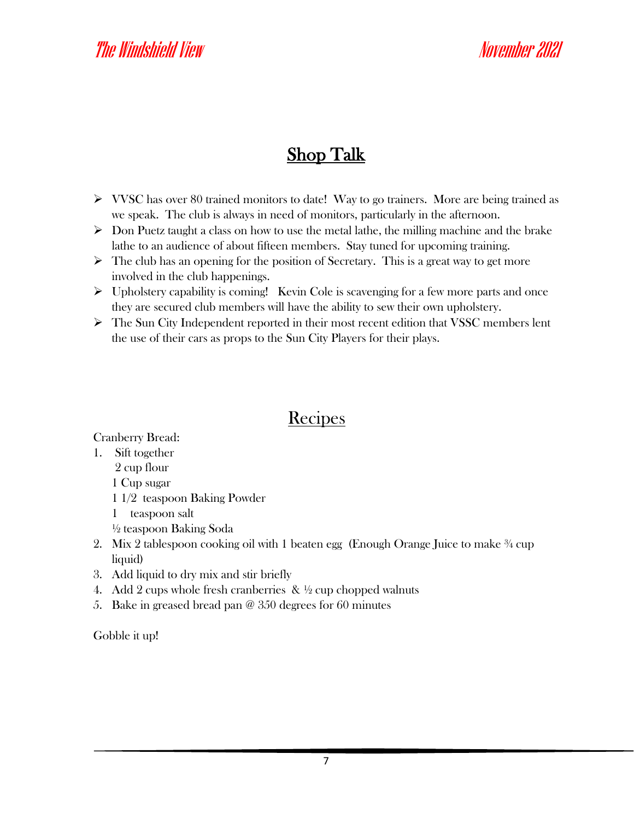### Shop Talk

- ➢ VVSC has over 80 trained monitors to date! Way to go trainers. More are being trained as we speak. The club is always in need of monitors, particularly in the afternoon.
- $\triangleright$  Don Puetz taught a class on how to use the metal lathe, the milling machine and the brake lathe to an audience of about fifteen members. Stay tuned for upcoming training.
- $\triangleright$  The club has an opening for the position of Secretary. This is a great way to get more involved in the club happenings.
- $\triangleright$  Upholstery capability is coming! Kevin Cole is scavenging for a few more parts and once they are secured club members will have the ability to sew their own upholstery.
- ➢ The Sun City Independent reported in their most recent edition that VSSC members lent the use of their cars as props to the Sun City Players for their plays.

### Recipes

Cranberry Bread:

1. Sift together

2 cup flour

1 Cup sugar

- 1 1/2 teaspoon Baking Powder
- 1 teaspoon salt
- ½ teaspoon Baking Soda
- 2. Mix 2 tablespoon cooking oil with 1 beaten egg (Enough Orange Juice to make ¾ cup liquid)
- 3. Add liquid to dry mix and stir briefly
- 4. Add 2 cups whole fresh cranberries  $\& \frac{1}{2}$  cup chopped walnuts
- 5. Bake in greased bread pan @ 350 degrees for 60 minutes

Gobble it up!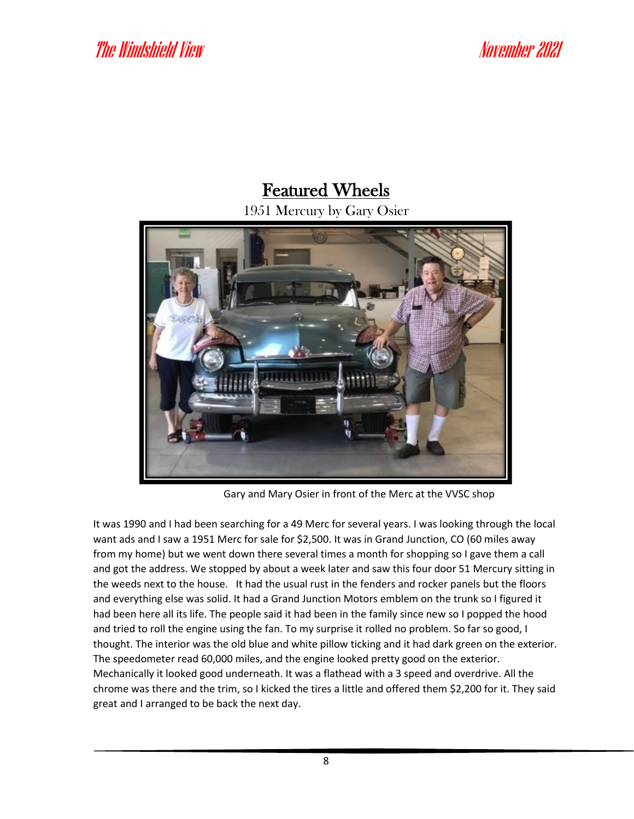### Featured Wheels

1951 Mercury by Gary Osier



Gary and Mary Osier in front of the Merc at the VVSC shop

It was 1990 and I had been searching for a 49 Merc for several years. I was looking through the local want ads and I saw a 1951 Merc for sale for \$2,500. It was in Grand Junction, CO (60 miles away from my home) but we went down there several times a month for shopping so I gave them a call and got the address. We stopped by about a week later and saw this four door 51 Mercury sitting in the weeds next to the house. It had the usual rust in the fenders and rocker panels but the floors and everything else was solid. It had a Grand Junction Motors emblem on the trunk so I figured it had been here all its life. The people said it had been in the family since new so I popped the hood and tried to roll the engine using the fan. To my surprise it rolled no problem. So far so good, I thought. The interior was the old blue and white pillow ticking and it had dark green on the exterior. The speedometer read 60,000 miles, and the engine looked pretty good on the exterior. Mechanically it looked good underneath. It was a flathead with a 3 speed and overdrive. All the chrome was there and the trim, so I kicked the tires a little and offered them \$2,200 for it. They said great and I arranged to be back the next day.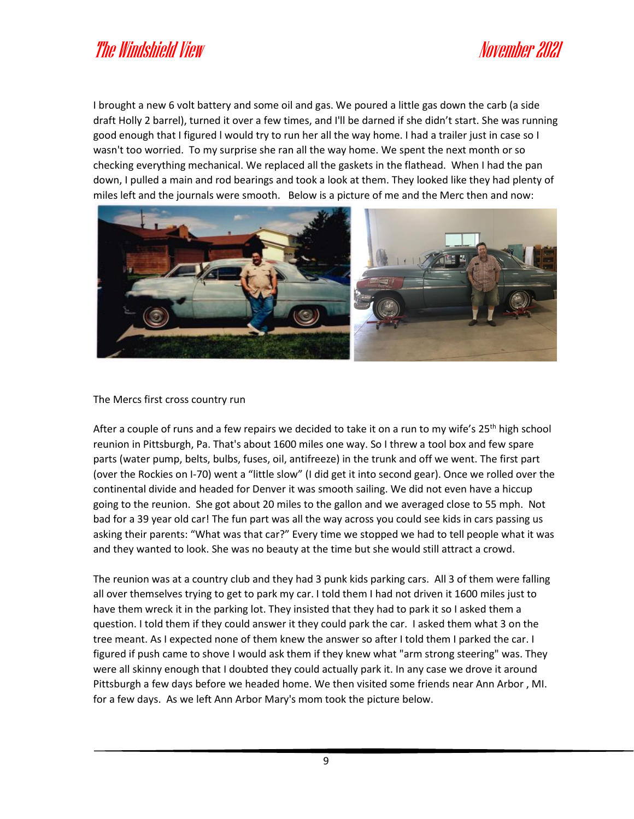I brought a new 6 volt battery and some oil and gas. We poured a little gas down the carb (a side draft Holly 2 barrel), turned it over a few times, and I'll be darned if she didn't start. She was running good enough that I figured l would try to run her all the way home. I had a trailer just in case so I wasn't too worried. To my surprise she ran all the way home. We spent the next month or so checking everything mechanical. We replaced all the gaskets in the flathead. When I had the pan down, I pulled a main and rod bearings and took a look at them. They looked like they had plenty of miles left and the journals were smooth. Below is a picture of me and the Merc then and now:



### The Mercs first cross country run

After a couple of runs and a few repairs we decided to take it on a run to my wife's 25<sup>th</sup> high school reunion in Pittsburgh, Pa. That's about 1600 miles one way. So I threw a tool box and few spare parts (water pump, belts, bulbs, fuses, oil, antifreeze) in the trunk and off we went. The first part (over the Rockies on I-70) went a "little slow" (I did get it into second gear). Once we rolled over the continental divide and headed for Denver it was smooth sailing. We did not even have a hiccup going to the reunion. She got about 20 miles to the gallon and we averaged close to 55 mph. Not bad for a 39 year old car! The fun part was all the way across you could see kids in cars passing us asking their parents: "What was that car?" Every time we stopped we had to tell people what it was and they wanted to look. She was no beauty at the time but she would still attract a crowd.

The reunion was at a country club and they had 3 punk kids parking cars. All 3 of them were falling all over themselves trying to get to park my car. I told them I had not driven it 1600 miles just to have them wreck it in the parking lot. They insisted that they had to park it so I asked them a question. I told them if they could answer it they could park the car. I asked them what 3 on the tree meant. As I expected none of them knew the answer so after I told them I parked the car. I figured if push came to shove I would ask them if they knew what "arm strong steering" was. They were all skinny enough that I doubted they could actually park it. In any case we drove it around Pittsburgh a few days before we headed home. We then visited some friends near Ann Arbor , MI. for a few days. As we left Ann Arbor Mary's mom took the picture below.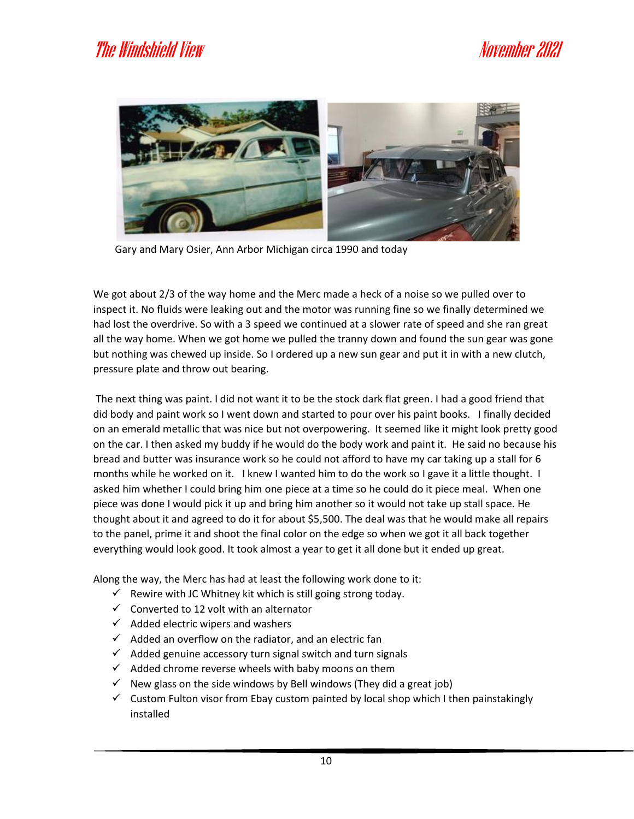

Gary and Mary Osier, Ann Arbor Michigan circa 1990 and today

We got about 2/3 of the way home and the Merc made a heck of a noise so we pulled over to inspect it. No fluids were leaking out and the motor was running fine so we finally determined we had lost the overdrive. So with a 3 speed we continued at a slower rate of speed and she ran great all the way home. When we got home we pulled the tranny down and found the sun gear was gone but nothing was chewed up inside. So I ordered up a new sun gear and put it in with a new clutch, pressure plate and throw out bearing.

The next thing was paint. I did not want it to be the stock dark flat green. I had a good friend that did body and paint work so I went down and started to pour over his paint books. I finally decided on an emerald metallic that was nice but not overpowering. It seemed like it might look pretty good on the car. I then asked my buddy if he would do the body work and paint it. He said no because his bread and butter was insurance work so he could not afford to have my car taking up a stall for 6 months while he worked on it. I knew I wanted him to do the work so I gave it a little thought. I asked him whether I could bring him one piece at a time so he could do it piece meal. When one piece was done I would pick it up and bring him another so it would not take up stall space. He thought about it and agreed to do it for about \$5,500. The deal was that he would make all repairs to the panel, prime it and shoot the final color on the edge so when we got it all back together everything would look good. It took almost a year to get it all done but it ended up great.

Along the way, the Merc has had at least the following work done to it:

- $\checkmark$  Rewire with JC Whitney kit which is still going strong today.
- $\checkmark$  Converted to 12 volt with an alternator
- $\checkmark$  Added electric wipers and washers
- $\checkmark$  Added an overflow on the radiator, and an electric fan
- $\checkmark$  Added genuine accessory turn signal switch and turn signals
- $\checkmark$  Added chrome reverse wheels with baby moons on them
- $\checkmark$  New glass on the side windows by Bell windows (They did a great job)
- $\checkmark$  Custom Fulton visor from Ebay custom painted by local shop which I then painstakingly installed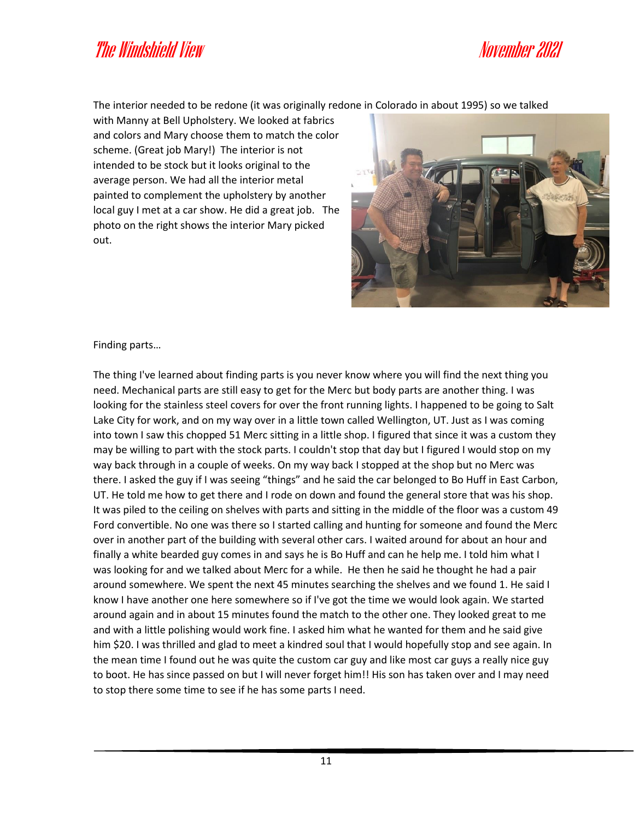The interior needed to be redone (it was originally redone in Colorado in about 1995) so we talked

with Manny at Bell Upholstery. We looked at fabrics and colors and Mary choose them to match the color scheme. (Great job Mary!) The interior is not intended to be stock but it looks original to the average person. We had all the interior metal painted to complement the upholstery by another local guy I met at a car show. He did a great job. The photo on the right shows the interior Mary picked out.



Finding parts…

The thing I've learned about finding parts is you never know where you will find the next thing you need. Mechanical parts are still easy to get for the Merc but body parts are another thing. I was looking for the stainless steel covers for over the front running lights. I happened to be going to Salt Lake City for work, and on my way over in a little town called Wellington, UT. Just as I was coming into town I saw this chopped 51 Merc sitting in a little shop. I figured that since it was a custom they may be willing to part with the stock parts. I couldn't stop that day but I figured I would stop on my way back through in a couple of weeks. On my way back I stopped at the shop but no Merc was there. I asked the guy if I was seeing "things" and he said the car belonged to Bo Huff in East Carbon, UT. He told me how to get there and I rode on down and found the general store that was his shop. It was piled to the ceiling on shelves with parts and sitting in the middle of the floor was a custom 49 Ford convertible. No one was there so I started calling and hunting for someone and found the Merc over in another part of the building with several other cars. I waited around for about an hour and finally a white bearded guy comes in and says he is Bo Huff and can he help me. I told him what I was looking for and we talked about Merc for a while. He then he said he thought he had a pair around somewhere. We spent the next 45 minutes searching the shelves and we found 1. He said I know I have another one here somewhere so if I've got the time we would look again. We started around again and in about 15 minutes found the match to the other one. They looked great to me and with a little polishing would work fine. I asked him what he wanted for them and he said give him \$20. I was thrilled and glad to meet a kindred soul that I would hopefully stop and see again. In the mean time I found out he was quite the custom car guy and like most car guys a really nice guy to boot. He has since passed on but I will never forget him!! His son has taken over and I may need to stop there some time to see if he has some parts I need.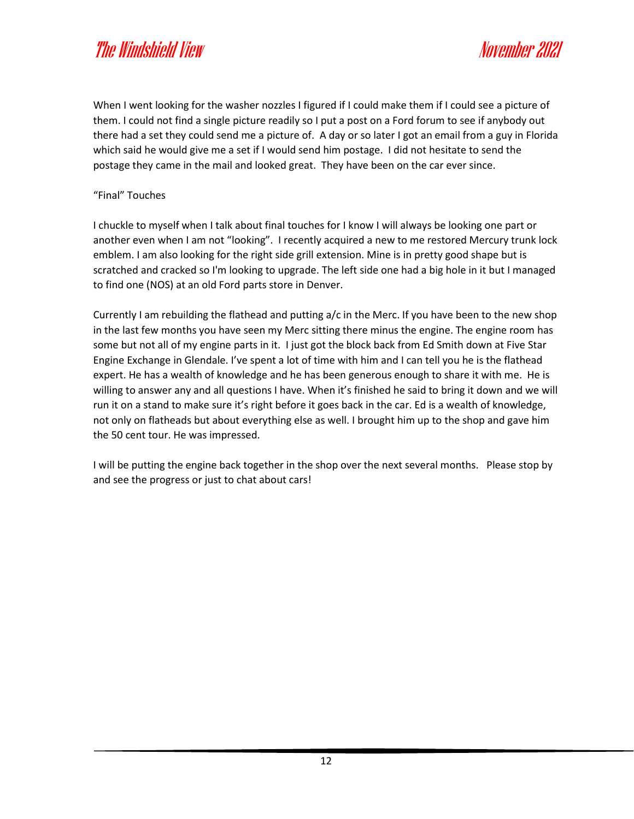When I went looking for the washer nozzles I figured if I could make them if I could see a picture of them. I could not find a single picture readily so I put a post on a Ford forum to see if anybody out there had a set they could send me a picture of. A day or so later I got an email from a guy in Florida which said he would give me a set if I would send him postage. I did not hesitate to send the postage they came in the mail and looked great. They have been on the car ever since.

### "Final" Touches

I chuckle to myself when I talk about final touches for I know I will always be looking one part or another even when I am not "looking". I recently acquired a new to me restored Mercury trunk lock emblem. I am also looking for the right side grill extension. Mine is in pretty good shape but is scratched and cracked so I'm looking to upgrade. The left side one had a big hole in it but I managed to find one (NOS) at an old Ford parts store in Denver.

Currently I am rebuilding the flathead and putting a/c in the Merc. If you have been to the new shop in the last few months you have seen my Merc sitting there minus the engine. The engine room has some but not all of my engine parts in it. I just got the block back from Ed Smith down at Five Star Engine Exchange in Glendale. I've spent a lot of time with him and I can tell you he is the flathead expert. He has a wealth of knowledge and he has been generous enough to share it with me. He is willing to answer any and all questions I have. When it's finished he said to bring it down and we will run it on a stand to make sure it's right before it goes back in the car. Ed is a wealth of knowledge, not only on flatheads but about everything else as well. I brought him up to the shop and gave him the 50 cent tour. He was impressed.

I will be putting the engine back together in the shop over the next several months. Please stop by and see the progress or just to chat about cars!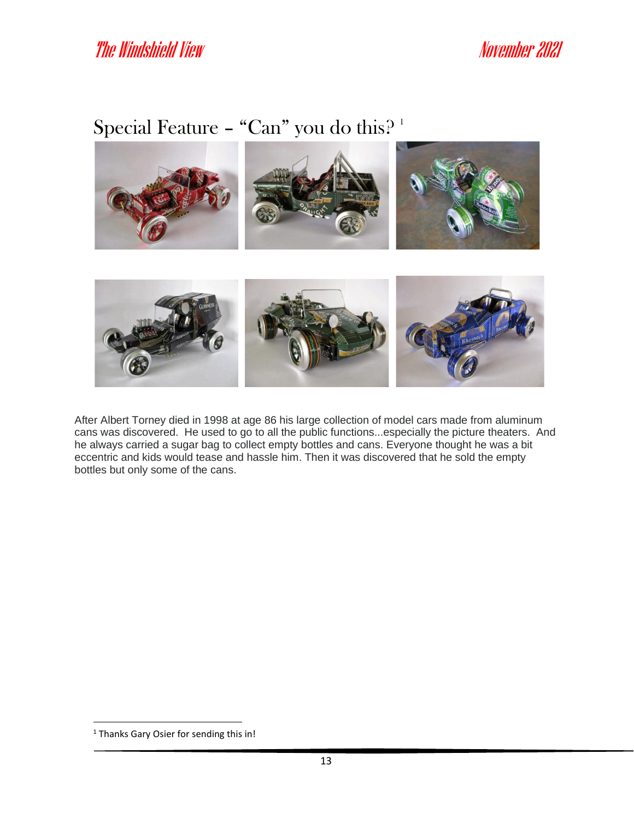# Special Feature - "Can" you do this?<sup>1</sup>



After Albert Torney died in 1998 at age 86 his large collection of model cars made from aluminum cans was discovered. He used to go to all the public functions...especially the picture theaters. And he always carried a sugar bag to collect empty bottles and cans. Everyone thought he was a bit eccentric and kids would tease and hassle him. Then it was discovered that he sold the empty bottles but only some of the cans.

<sup>&</sup>lt;sup>1</sup> Thanks Gary Osier for sending this in!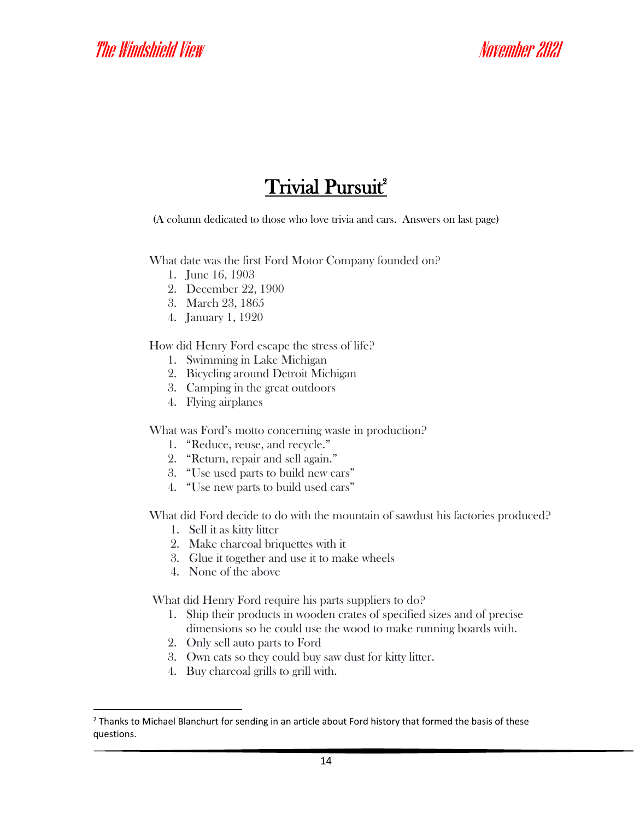## **Trivial Pursuit**<sup>2</sup>

(A column dedicated to those who love trivia and cars. Answers on last page)

What date was the first Ford Motor Company founded on?

- 1. June 16, 1903
- 2. December 22, 1900
- 3. March 23, 1865
- 4. January 1, 1920

How did Henry Ford escape the stress of life?

- 1. Swimming in Lake Michigan
- 2. Bicycling around Detroit Michigan
- 3. Camping in the great outdoors
- 4. Flying airplanes

What was Ford's motto concerning waste in production?

- 1. "Reduce, reuse, and recycle."
- 2. "Return, repair and sell again."
- 3. "Use used parts to build new cars"
- 4. "Use new parts to build used cars"

What did Ford decide to do with the mountain of sawdust his factories produced?

- 1. Sell it as kitty litter
- 2. Make charcoal briquettes with it
- 3. Glue it together and use it to make wheels
- 4. None of the above

What did Henry Ford require his parts suppliers to do?

- 1. Ship their products in wooden crates of specified sizes and of precise dimensions so he could use the wood to make running boards with.
- 2. Only sell auto parts to Ford
- 3. Own cats so they could buy saw dust for kitty litter.
- 4. Buy charcoal grills to grill with.

<sup>&</sup>lt;sup>2</sup> Thanks to Michael Blanchurt for sending in an article about Ford history that formed the basis of these questions.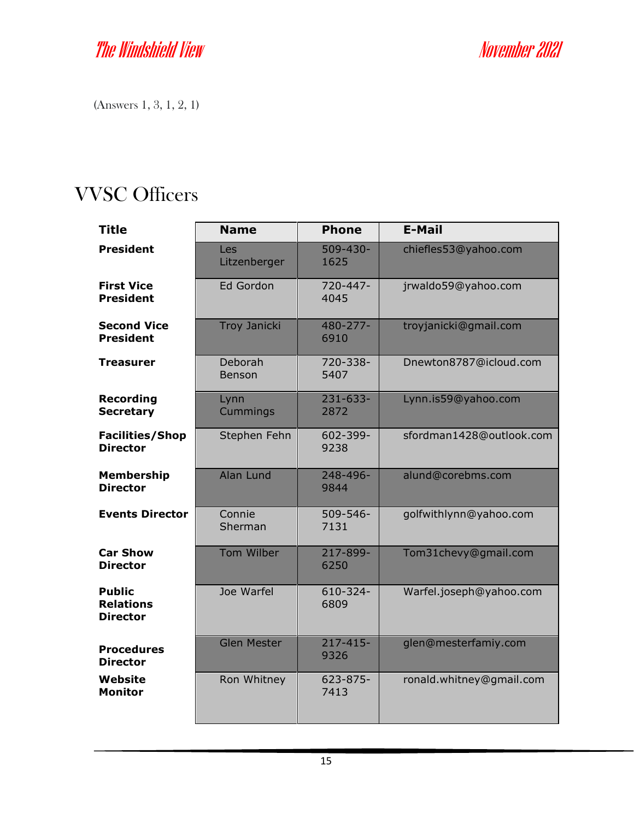(Answers 1, 3, 1, 2, 1)

# VVSC Officers

| <b>Title</b>                                         | <b>Name</b>              | <b>Phone</b>          | <b>E-Mail</b>            |
|------------------------------------------------------|--------------------------|-----------------------|--------------------------|
| <b>President</b>                                     | Les<br>Litzenberger      | $509 - 430 -$<br>1625 | chiefles53@yahoo.com     |
| <b>First Vice</b><br><b>President</b>                | Ed Gordon                | 720-447-<br>4045      | jrwaldo59@yahoo.com      |
| <b>Second Vice</b><br><b>President</b>               | <b>Troy Janicki</b>      | 480-277-<br>6910      | troyjanicki@gmail.com    |
| <b>Treasurer</b>                                     | Deborah<br><b>Benson</b> | 720-338-<br>5407      | Dnewton8787@icloud.com   |
| <b>Recording</b><br><b>Secretary</b>                 | Lynn<br>Cummings         | 231-633-<br>2872      | Lynn.is59@yahoo.com      |
| <b>Facilities/Shop</b><br><b>Director</b>            | Stephen Fehn             | 602-399-<br>9238      | sfordman1428@outlook.com |
| <b>Membership</b><br><b>Director</b>                 | Alan Lund                | 248-496-<br>9844      | alund@corebms.com        |
| <b>Events Director</b>                               | Connie<br>Sherman        | 509-546-<br>7131      | golfwithlynn@yahoo.com   |
| <b>Car Show</b><br><b>Director</b>                   | Tom Wilber               | 217-899-<br>6250      | Tom31chevy@gmail.com     |
| <b>Public</b><br><b>Relations</b><br><b>Director</b> | Joe Warfel               | 610-324-<br>6809      | Warfel.joseph@yahoo.com  |
| <b>Procedures</b><br><b>Director</b>                 | <b>Glen Mester</b>       | $217 - 415 -$<br>9326 | glen@mesterfamiy.com     |
| Website<br><b>Monitor</b>                            | Ron Whitney              | 623-875-<br>7413      | ronald.whitney@gmail.com |